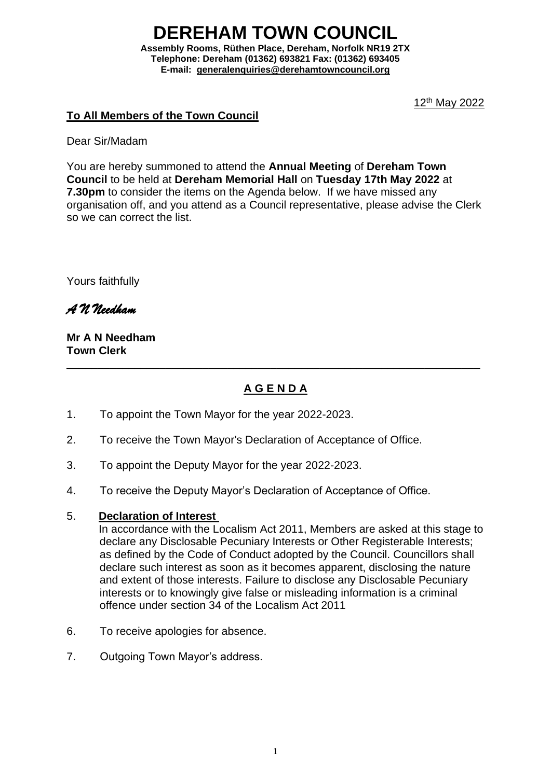# **DEREHAM TOWN COUNCIL**

**Assembly Rooms, Rüthen Place, Dereham, Norfolk NR19 2TX Telephone: Dereham (01362) 693821 Fax: (01362) 693405 E-mail:[generalenquiries@derehamtowncouncil.org](mailto:generalenquiries@derehamtowncouncil.org)**

12th May 2022

#### **To All Members of the Town Council**

Dear Sir/Madam

You are hereby summoned to attend the **Annual Meeting** of **Dereham Town Council** to be held at **Dereham Memorial Hall** on **Tuesday 17th May 2022** at **7.30pm** to consider the items on the Agenda below. If we have missed any organisation off, and you attend as a Council representative, please advise the Clerk so we can correct the list.

Yours faithfully

*A N Needham*

**Mr A N Needham Town Clerk**

# **A G E N D A**

\_\_\_\_\_\_\_\_\_\_\_\_\_\_\_\_\_\_\_\_\_\_\_\_\_\_\_\_\_\_\_\_\_\_\_\_\_\_\_\_\_\_\_\_\_\_\_\_\_\_\_\_\_\_\_\_\_\_\_\_\_\_\_\_\_\_\_

- 1. To appoint the Town Mayor for the year 2022-2023.
- 2. To receive the Town Mayor's Declaration of Acceptance of Office.
- 3. To appoint the Deputy Mayor for the year 2022-2023.
- 4. To receive the Deputy Mayor's Declaration of Acceptance of Office.

#### 5. **Declaration of Interest**

In accordance with the Localism Act 2011, Members are asked at this stage to declare any Disclosable Pecuniary Interests or Other Registerable Interests; as defined by the Code of Conduct adopted by the Council. Councillors shall declare such interest as soon as it becomes apparent, disclosing the nature and extent of those interests. Failure to disclose any Disclosable Pecuniary interests or to knowingly give false or misleading information is a criminal offence under section 34 of the Localism Act 2011

- 6. To receive apologies for absence.
- 7. Outgoing Town Mayor's address.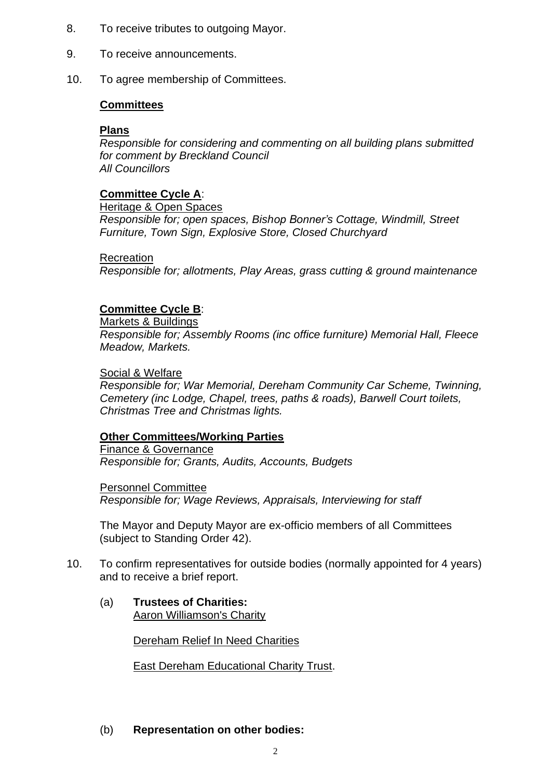- 8. To receive tributes to outgoing Mayor.
- 9. To receive announcements.
- 10. To agree membership of Committees.

#### **Committees**

#### **Plans**

*Responsible for considering and commenting on all building plans submitted for comment by Breckland Council All Councillors*

# **Committee Cycle A**:

Heritage & Open Spaces

*Responsible for; open spaces, Bishop Bonner's Cottage, Windmill, Street Furniture, Town Sign, Explosive Store, Closed Churchyard*

#### **Recreation**

*Responsible for; allotments, Play Areas, grass cutting & ground maintenance*

#### **Committee Cycle B**:

Markets & Buildings

*Responsible for; Assembly Rooms (inc office furniture) Memorial Hall, Fleece Meadow, Markets.*

#### Social & Welfare

*Responsible for; War Memorial, Dereham Community Car Scheme, Twinning, Cemetery (inc Lodge, Chapel, trees, paths & roads), Barwell Court toilets, Christmas Tree and Christmas lights.*

#### **Other Committees/Working Parties**

Finance & Governance *Responsible for; Grants, Audits, Accounts, Budgets*

Personnel Committee *Responsible for; Wage Reviews, Appraisals, Interviewing for staff*

The Mayor and Deputy Mayor are ex-officio members of all Committees (subject to Standing Order 42).

- 10. To confirm representatives for outside bodies (normally appointed for 4 years) and to receive a brief report.
	- (a) **Trustees of Charities:** Aaron Williamson's Charity

Dereham Relief In Need Charities

East Dereham Educational Charity Trust.

#### (b) **Representation on other bodies:**